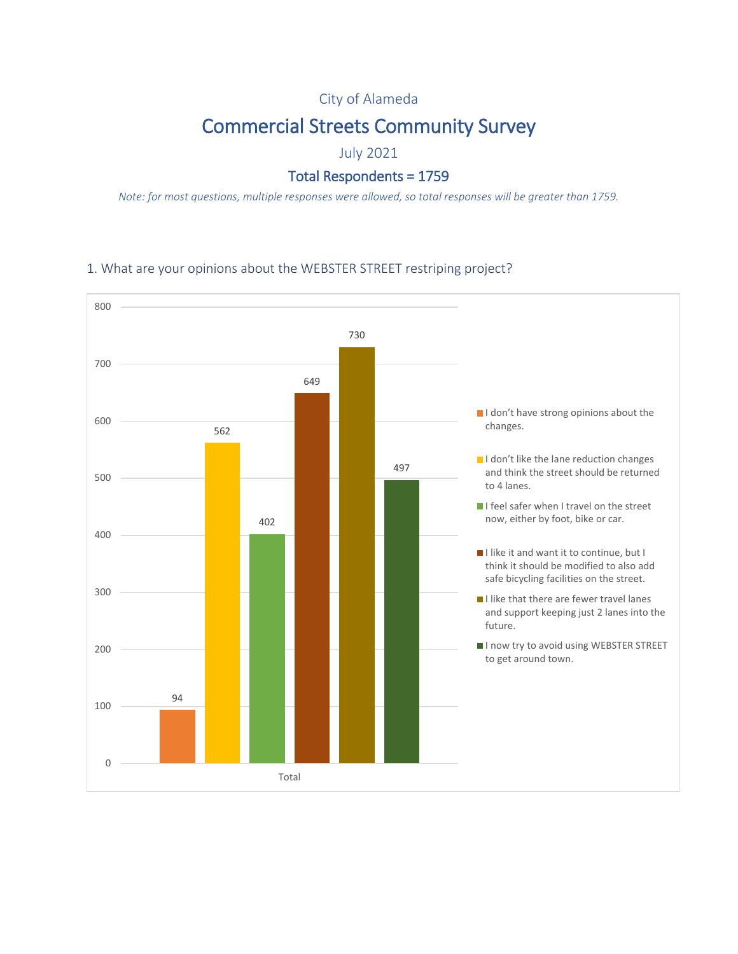## City of Alameda

# Commercial Streets Community Survey

July 2021

## Total Respondents = 1759

*Note: for most questions, multiple responses were allowed, so total responses will be greater than 1759.*

#### 1. What are your opinions about the WEBSTER STREET restriping project?

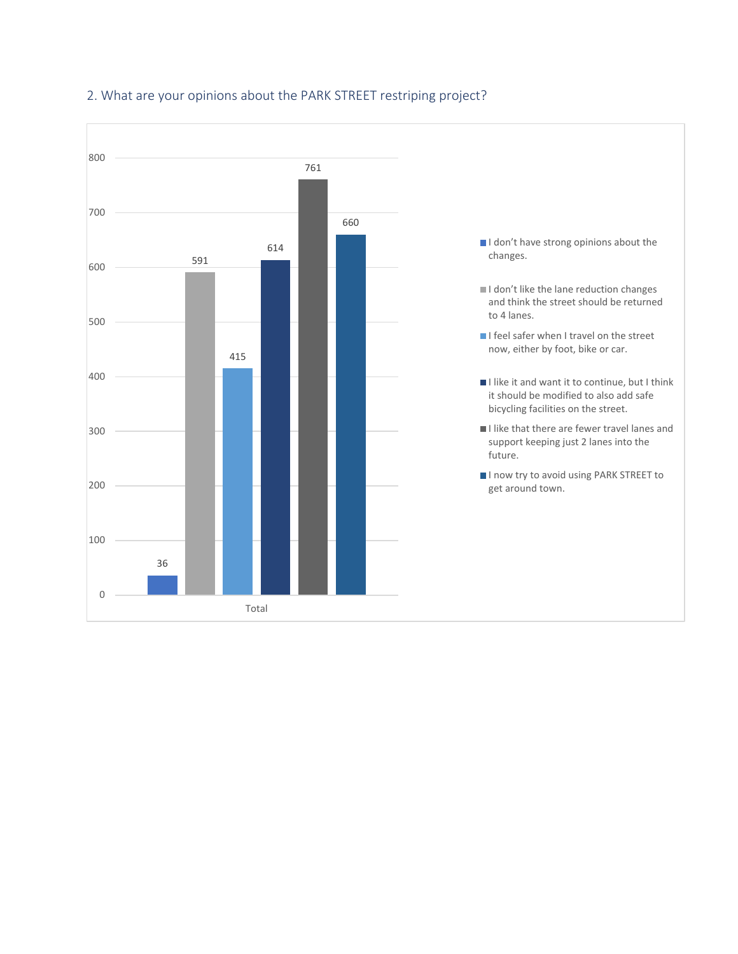

### 2. What are your opinions about the PARK STREET restriping project?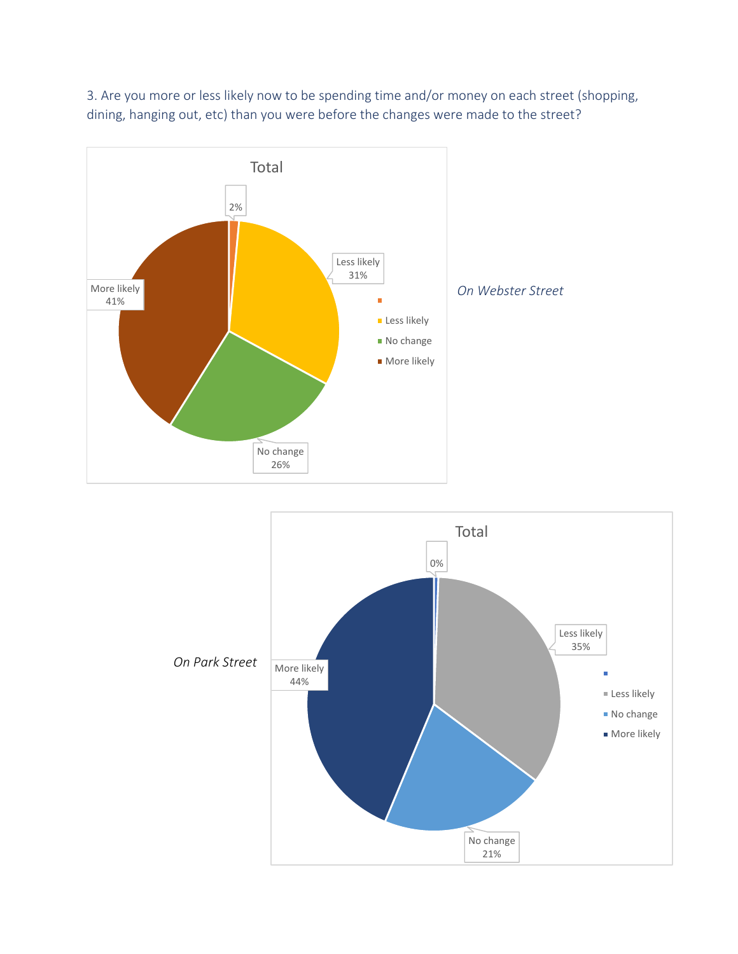

3. Are you more or less likely now to be spending time and/or money on each street (shopping, dining, hanging out, etc) than you were before the changes were made to the street?

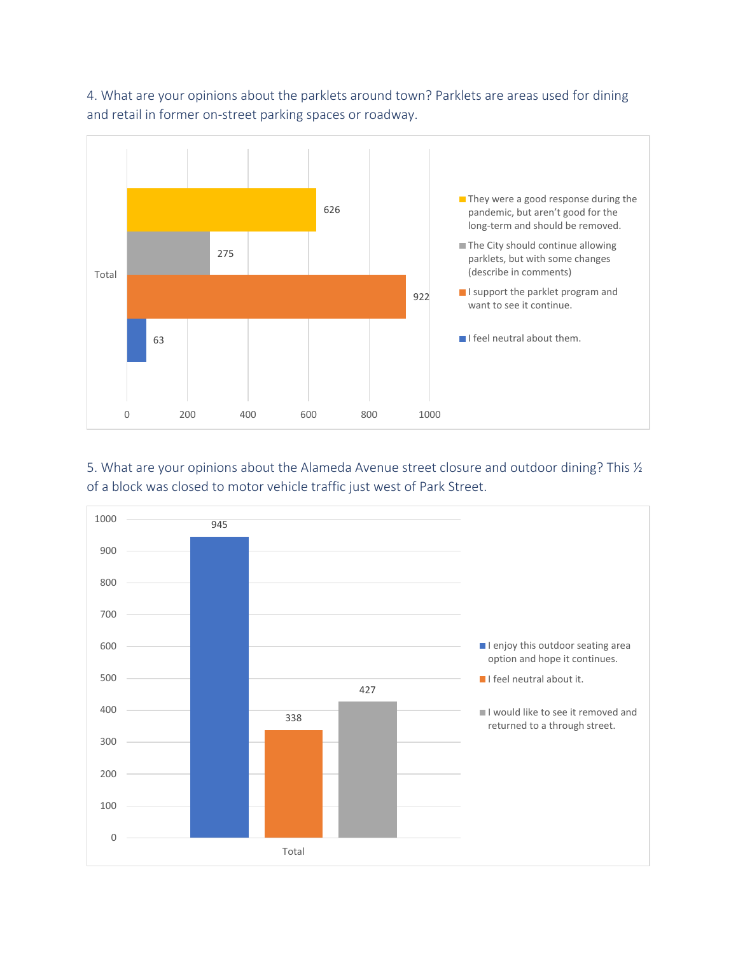4. What are your opinions about the parklets around town? Parklets are areas used for dining and retail in former on-street parking spaces or roadway.



5. What are your opinions about the Alameda Avenue street closure and outdoor dining? This  $\frac{1}{2}$ of a block was closed to motor vehicle traffic just west of Park Street.